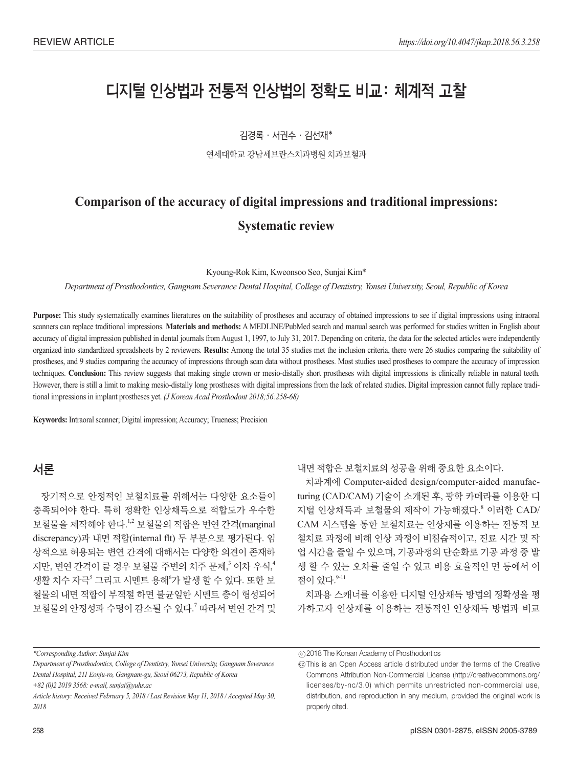# 디지털 인상법과 전통적 인상법의 정확도 비교: 체계적 고찰

김경록 서권수 김선재\*

연세대학교 강남세브란스치과병원 치과보철과

## **Comparison of the accuracy of digital impressions and traditional impressions: Systematic review**

Kyoung-Rok Kim, Kweonsoo Seo, Sunjai Kim\*

*Department of Prosthodontics, Gangnam Severance Dental Hospital, College of Dentistry, Yonsei University, Seoul, Republic of Korea*

Purpose: This study systematically examines literatures on the suitability of prostheses and accuracy of obtained impressions to see if digital impressions using intraoral scanners can replace traditional impressions. **Materials and methods:** A MEDLINE/PubMed search and manual search was performed for studies written in English about accuracy of digital impression published in dental journals from August 1, 1997, to July 31, 2017. Depending on criteria, the data for the selected articles were independently organized into standardized spreadsheets by 2 reviewers. **Results:** Among the total 35 studies met the inclusion criteria, there were 26 studies comparing the suitability of prostheses, and 9 studies comparing the accuracy of impressions through scan data without prostheses. Most studies used prostheses to compare the accuracy of impression techniques. **Conclusion:** This review suggests that making single crown or mesio-distally short prostheses with digital impressions is clinically reliable in natural teeth. However, there is still a limit to making mesio-distally long prostheses with digital impressions from the lack of related studies. Digital impression cannot fully replace traditional impressions in implant prostheses yet. *(J Korean Acad Prosthodont 2018;56:258-68)*

**Keywords:** Intraoral scanner; Digital impression; Accuracy; Trueness; Precision

#### 서론

장기적으로 안정적인 보철치료를 위해서는 다양한 요소들이 충족되어야 한다. 특히 정확한 인상채득으로 적합도가 우수한 보철물을 제작해야 한다.1,2 보철물의 적합은 변연 간격(marginal discrepancy)과 내면 적합(internal flt) 두 부분으로 평가된다. 임 상적으로 허용되는 변연 간격에 대해서는 다양한 의견이 존재하 지만, 변연 간격이 클 경우 보철물 주변의 치주 문제,<sup>3</sup> 이차 우식,<sup>4</sup> 생활 치수 자극<sup>5</sup> 그리고 시멘트 용해<sup>6</sup>가 발생 할 수 있다. 또한 보 철물의 내면 적합이 부적절 하면 불균일한 시멘트 층이 형성되어 보철물의 안정성과 수명이 감소될 수 있다. <sup>7</sup> 따라서 변연 간격 및

내면 적합은 보철치료의 성공을 위해 중요한 요소이다.

치과계에 Computer-aided design/computer-aided manufacturing (CAD/CAM) 기술이 소개된 후, 광학 카메라를 이용한 디 지털 인상채득과 보철물의 제작이 가능해졌다. <sup>8</sup> 이러한 CAD/ CAM 시스템을 통한 보철치료는 인상재를 이용하는 전통적 보 철치료 과정에 비해 인상 과정이 비침습적이고, 진료 시간 및 작 업 시간을 줄일 수 있으며, 기공과정의 단순화로 기공 과정 중 발 생 할 수 있는 오차를 줄일 수 있고 비용 효율적인 면 등에서 이 점이 있다.  $9-11$ 

치과용 스캐너를 이용한 디지털 인상채득 방법의 정확성을 평 가하고자 인상재를 이용하는 전통적인 인상채득 방법과 비교

*\*Corresponding Author: Sunjai Kim*

*+82 (0)2 2019 3568: e-mail, sunjai@yuhs.ac*

2018 The Korean Academy of Prosthodontics c

*Department of Prosthodontics, College of Dentistry, Yonsei University, Gangnam Severance Dental Hospital, 211 Eonju-ro, Gangnam-gu, Seoul 06273, Republic of Korea*

*Article history: Received February 5, 2018 / Last Revision May 11, 2018 / Accepted May 30, 2018*

 $\circledcirc$  This is an Open Access article distributed under the terms of the Creative Commons Attribution Non-Commercial License (http://creativecommons.org/ licenses/by-nc/3.0) which permits unrestricted non-commercial use, distribution, and reproduction in any medium, provided the original work is properly cited.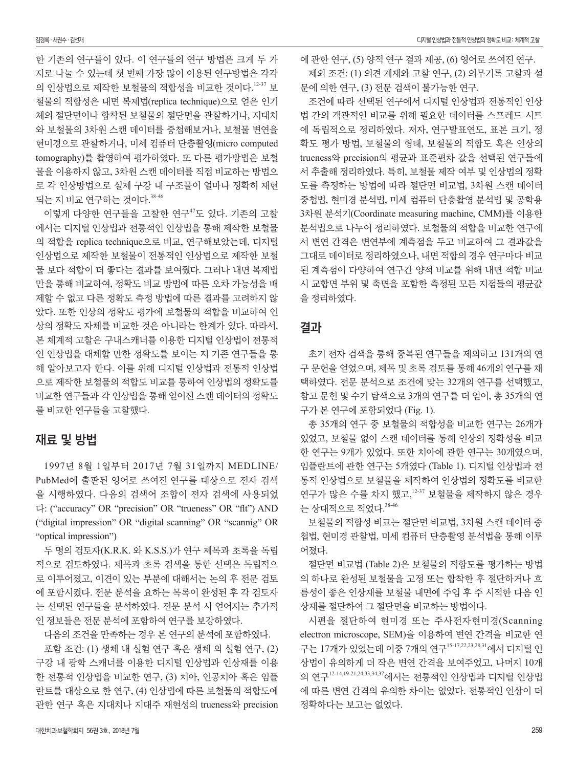한 기존의 연구들이 있다. 이 연구들의 연구 방법은 크게 두 가 지로 나눌 수 있는데 첫 번째 가장 많이 이용된 연구방법은 각각 의 인상법으로 제작한 보철물의 적합성을 비교한 것이다. 12-37 보 철물의 적합성은 내면 복제법(replica technique)으로 얻은 인기 체의 절단면이나 합착된 보철물의 절단면을 관찰하거나, 지대치 와 보철물의 3차원 스캔 데이터를 중첩해보거나, 보철물 변연을 현미경으로 관찰하거나, 미세 컴퓨터 단층촬영(micro computed tomography)를 촬영하여 평가하였다. 또 다른 평가방법은 보철 물을 이용하지 않고, 3차원 스캔 데이터를 직접 비교하는 방법으 로 각 인상방법으로 실제 구강 내 구조물이 얼마나 정확히 재현 되는 지 비교 연구하는 것이다. 38-46

이렇게 다양한 연구들을 고찰한 연구<sup>47</sup>도 있다. 기존의 고찰 에서는 디지털 인상법과 전통적인 인상법을 통해 제작한 보철물 의 적합을 replica technique으로 비교, 연구해보았는데, 디지털 인상법으로 제작한 보철물이 전통적인 인상법으로 제작한 보철 물 보다 적합이 더 좋다는 결과를 보여줬다. 그러나 내면 복제법 만을 통해 비교하여, 정확도 비교 방법에 따른 오차 가능성을 배 제할 수 없고 다른 정확도 측정 방법에 따른 결과를 고려하지 않 았다. 또한 인상의 정확도 평가에 보철물의 적합을 비교하여 인 상의 정확도 자체를 비교한 것은 아니라는 한계가 있다. 따라서, 본 체계적 고찰은 구내스캐너를 이용한 디지털 인상법이 전통적 인 인상법을 대체할 만한 정확도를 보이는 지 기존 연구들을 통 해 알아보고자 한다. 이를 위해 디지털 인상법과 전통적 인상법 으로 제작한 보철물의 적합도 비교를 통하여 인상법의 정확도를 비교한 연구들과 각 인상법을 통해 얻어진 스캔 데이터의 정확도 를 비교한 연구들을 고찰했다.

#### 재료 및 방법

1997년 8월 1일부터 2017년 7월 31일까지 MEDLINE/ PubMed에 출판된 영어로 쓰여진 연구를 대상으로 전자 검색 을 시행하였다. 다음의 검색어 조합이 전자 검색에 사용되었 다: ("accuracy" OR "precision" OR "trueness" OR "flt") AND ("digital impression" OR "digital scanning" OR "scannig" OR "optical impression")

두 명의 검토자(K.R.K. 와 K.S.S.)가 연구 제목과 초록을 독립 적으로 검토하였다. 제목과 초록 검색을 통한 선택은 독립적으 로 이루어졌고, 이견이 있는 부분에 대해서는 논의 후 전문 검토 에 포함시켰다. 전문 분석을 요하는 목록이 완성된 후 각 검토자 는 선택된 연구들을 분석하였다. 전문 분석 시 얻어지는 추가적 인 정보들은 전문 분석에 포함하여 연구를 보강하였다.

다음의 조건을 만족하는 경우 본 연구의 분석에 포함하였다.

포함 조건: (1) 생체 내 실험 연구 혹은 생체 외 실험 연구, (2) 구강 내 광학 스캐너를 이용한 디지털 인상법과 인상재를 이용 한 전통적 인상법을 비교한 연구, (3) 치아, 인공치아 혹은 임플 란트를 대상으로 한 연구, (4) 인상법에 따른 보철물의 적합도에 관한 연구 혹은 지대치나 지대주 재현성의 trueness와 precision 에 관한 연구, (5) 양적 연구 결과 제공, (6) 영어로 쓰여진 연구. 제외 조건: (1) 의견 게재와 고찰 연구, (2) 의무기록 고찰과 설 문에 의한 연구, (3) 전문 검색이 불가능한 연구.

조건에 따라 선택된 연구에서 디지털 인상법과 전통적인 인상 법 간의 객관적인 비교를 위해 필요한 데이터를 스프레드 시트 에 독립적으로 정리하였다. 저자, 연구발표연도, 표본 크기, 정 확도 평가 방법, 보철물의 형태, 보철물의 적합도 혹은 인상의 trueness와 precision의 평균과 표준편차 값을 선택된 연구들에 서 추출해 정리하였다. 특히, 보철물 제작 여부 및 인상법의 정확 도를 측정하는 방법에 따라 절단면 비교법, 3차원 스캔 데이터 중첩법, 현미경 분석법, 미세 컴퓨터 단층촬영 분석법 및 공학용 3차원 분석기(Coordinate measuring machine, CMM)를 이용한 분석법으로 나누어 정리하였다. 보철물의 적합을 비교한 연구에 서 변연 간격은 변연부에 계측점을 두고 비교하여 그 결과값을 그대로 데이터로 정리하였으나, 내면 적합의 경우 연구마다 비교 된 계측점이 다양하여 연구간 양적 비교를 위해 내면 적합 비교 시 교합면 부위 및 축면을 포함한 측정된 모든 지점들의 평균값 을 정리하였다.

#### 결과

초기 전자 검색을 통해 중복된 연구들을 제외하고 131개의 연 구 문헌을 얻었으며, 제목 및 초록 검토를 통해 46개의 연구를 채 택하였다. 전문 분석으로 조건에 맞는 32개의 연구를 선택했고, 참고 문헌 및 수기 탐색으로 3개의 연구를 더 얻어, 총 35개의 연 구가 본 연구에 포함되었다 (Fig. 1).

총 35개의 연구 중 보철물의 적합성을 비교한 연구는 26개가 있었고, 보철물 없이 스캔 데이터를 통해 인상의 정확성을 비교 한 연구는 9개가 있었다. 또한 치아에 관한 연구는 30개였으며, 임플란트에 관한 연구는 5개였다 (Table 1). 디지털 인상법과 전 통적 인상법으로 보철물을 제작하여 인상법의 정확도를 비교한 연구가 많은 수를 차지 했고,<sup>12-37</sup> 보철물을 제작하지 않은 경우 는 상대적으로 적었다. 38-46

보철물의 적합성 비교는 절단면 비교법, 3차원 스캔 데이터 중 첩법, 현미경 관찰법, 미세 컴퓨터 단층촬영 분석법을 통해 이루 어졌다.

절단면 비교법 (Table 2)은 보철물의 적합도를 평가하는 방법 의 하나로 완성된 보철물을 고정 또는 합착한 후 절단하거나 흐 름성이 좋은 인상재를 보철물 내면에 주입 후 주 시적한 다음 인 상재를 절단하여 그 절단면을 비교하는 방법이다.

시편을 절단하여 현미경 또는 주사전자현미경(Scanning electron microscope, SEM)을 이용하여 변연 간격을 비교한 연 구는 17개가 있었는데 이중 7개의 연구15-17,22,23,28,31에서 디지털 인 상법이 유의하게 더 작은 변연 간격을 보여주었고, 나머지 10개 의 연구12-14,19-21,24,33,34,37에서는 전통적인 인상법과 디지털 인상법 에 따른 변연 간격의 유의한 차이는 없었다. 전통적인 인상이 더 정확하다는 보고는 없었다.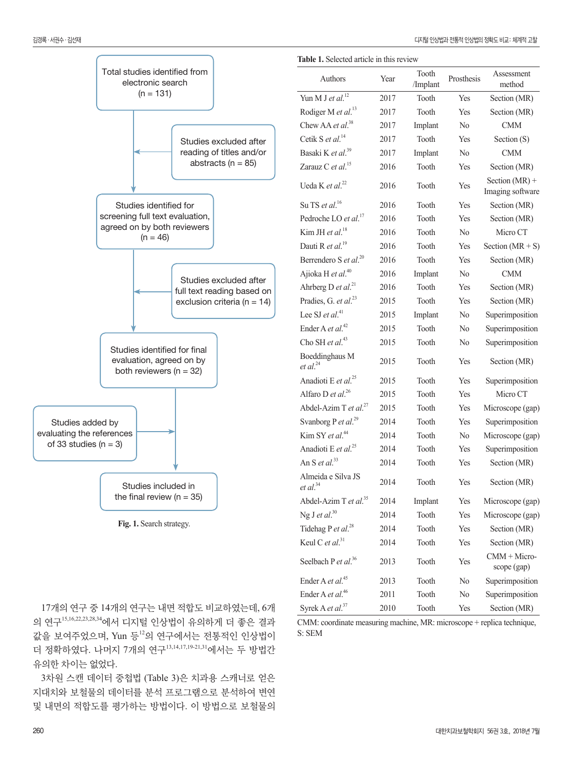scope (gap)

|                           |                                                                                         |                                                      |                                            | <b>Table 1.</b> Selected article in this review |                   |                |                                      |
|---------------------------|-----------------------------------------------------------------------------------------|------------------------------------------------------|--------------------------------------------|-------------------------------------------------|-------------------|----------------|--------------------------------------|
|                           | Total studies identified from<br>electronic search                                      |                                                      | Authors                                    | Year                                            | Tooth<br>/Implant | Prosthesis     | Assessment<br>method                 |
|                           | $(n = 131)$                                                                             |                                                      | Yun M J et $al.^{12}$                      | 2017                                            | Tooth             | Yes            | Section (MR)                         |
|                           |                                                                                         |                                                      | Rodiger M et al. <sup>13</sup>             | 2017                                            | Tooth             | Yes            | Section (MR)                         |
|                           |                                                                                         |                                                      | Chew AA et al. <sup>38</sup>               | 2017                                            | Implant           | $\rm No$       | <b>CMM</b>                           |
|                           |                                                                                         | Studies excluded after                               | Cetik S et al. <sup>14</sup>               | 2017                                            | Tooth             | Yes            | Section $(S)$                        |
|                           |                                                                                         | reading of titles and/or                             | Basaki K et al. <sup>39</sup>              | 2017                                            | Implant           | N <sub>0</sub> | <b>CMM</b>                           |
|                           |                                                                                         | abstracts ( $n = 85$ )                               | Zarauz C et al. <sup>15</sup>              | 2016                                            | Tooth             | Yes            | Section (MR)                         |
|                           |                                                                                         |                                                      | Ueda K et al. <sup>22</sup>                | 2016                                            | Tooth             | Yes            | Section $(MR)$ +<br>Imaging software |
|                           | Studies identified for                                                                  |                                                      | Su TS et al. <sup>16</sup>                 | 2016                                            | Tooth             | Yes            | Section (MR)                         |
|                           | screening full text evaluation,                                                         |                                                      | Pedroche LO et al. <sup>17</sup>           | 2016                                            | Tooth             | Yes            | Section (MR)                         |
|                           | agreed on by both reviewers<br>$(n = 46)$                                               |                                                      | Kim JH et al. <sup>18</sup>                | 2016                                            | Tooth             | $\rm No$       | Micro CT                             |
|                           |                                                                                         |                                                      | Dauti R et al. <sup>19</sup>               | 2016                                            | Tooth             | Yes            | Section $(MR + S)$                   |
|                           |                                                                                         |                                                      | Berrendero S et al. <sup>20</sup>          | 2016                                            | Tooth             | Yes            | Section (MR)                         |
|                           |                                                                                         |                                                      | Ajioka H et al. <sup>40</sup>              | 2016                                            | Implant           | N <sub>0</sub> | <b>CMM</b>                           |
|                           |                                                                                         | Studies excluded after<br>full text reading based on | Ahrberg D et al. <sup>21</sup>             | 2016                                            | Tooth             | Yes            | Section (MR)                         |
|                           |                                                                                         | exclusion criteria ( $n = 14$ )                      | Pradies, G. et al. <sup>23</sup>           | 2015                                            | Tooth             | Yes            | Section (MR)                         |
|                           |                                                                                         |                                                      | Lee SJ et al. <sup>41</sup>                | 2015                                            | Implant           | No             | Superimposition                      |
|                           |                                                                                         |                                                      | Ender A et al. <sup>42</sup>               | 2015                                            | Tooth             | No             | Superimposition                      |
|                           |                                                                                         |                                                      | Cho SH et al. <sup>43</sup>                | 2015                                            | Tooth             | No             | Superimposition                      |
|                           | Studies identified for final<br>evaluation, agreed on by<br>both reviewers ( $n = 32$ ) |                                                      | Boeddinghaus M<br>et al. <sup>24</sup>     | 2015                                            | Tooth             | Yes            | Section (MR)                         |
|                           |                                                                                         |                                                      | Anadioti E et al. <sup>25</sup>            | 2015                                            | Tooth             | Yes            | Superimposition                      |
|                           |                                                                                         |                                                      | Alfaro D et $al.^{26}$                     | 2015                                            | Tooth             | Yes            | Micro CT                             |
|                           |                                                                                         |                                                      | Abdel-Azim T et al. $^{27}$                | 2015                                            | Tooth             | Yes            | Microscope (gap)                     |
| Studies added by          |                                                                                         |                                                      | Svanborg P et al. <sup>29</sup>            | 2014                                            | Tooth             | Yes            | Superimposition                      |
| evaluating the references |                                                                                         |                                                      | Kim SY et al. <sup>44</sup>                | 2014                                            | Tooth             | N <sub>0</sub> | Microscope (gap)                     |
| of 33 studies $(n = 3)$   |                                                                                         |                                                      |                                            | 2014                                            | Tooth             | Yes            | Superimposition                      |
|                           |                                                                                         |                                                      | An S et al. $33$                           | 2014                                            | Tooth             | Yes            | Section (MR)                         |
|                           | Studies included in                                                                     |                                                      | Almeida e Silva JS<br>et al. <sup>34</sup> | 2014                                            | Tooth             | Yes            | Section (MR)                         |
|                           | the final review ( $n = 35$ )                                                           |                                                      | Abdel-Azim T et al. <sup>35</sup>          | 2014                                            | Implant           | Yes            | Microscope (gap)                     |
|                           |                                                                                         |                                                      | Ng J et al. $30$                           | 2014                                            | Tooth             | Yes            | Microscope (gap)                     |
| Fig. 1. Search strategy.  |                                                                                         |                                                      | Tidehag P et al. <sup>28</sup>             | 2014                                            | Tooth             | Yes            | Section (MR)                         |

Keul C *et al*.

Seelbach P *et al.*<sup>36</sup>

Ender A et al.<sup>45</sup>

17개의 연구 중 14개의 연구는 내면 적합도 비교하였는데, 6개 의 연구15,16,22,23,28,34에서 디지털 인상법이 유의하게 더 좋은 결과 값을 보여주었으며, Yun 등<sup>12</sup>의 연구에서는 전통적인 인상법이 더 정확하였다. 나머지 7개의 연구13,14,17,19-21,31에서는 두 방법간 유의한 차이는 없었다.

3차원 스캔 데이터 중첩법 (Table 3)은 치과용 스캐너로 얻은 지대치와 보철물의 데이터를 분석 프로그램으로 분석하여 변연 및 내면의 적합도를 평가하는 방법이다. 이 방법으로 보철물의

Ender A et al.<sup>46</sup> 2011 Tooth No Superimposition Syrek A *et al*.<sup>37</sup> 2010 Tooth Yes Section (MR) CMM: coordinate measuring machine, MR: microscope + replica technique, S: SEM

2014 Tooth Yes Section (MR)

 $2013$  Tooth Yes CMM + Micro-

2013 Tooth No Superimposition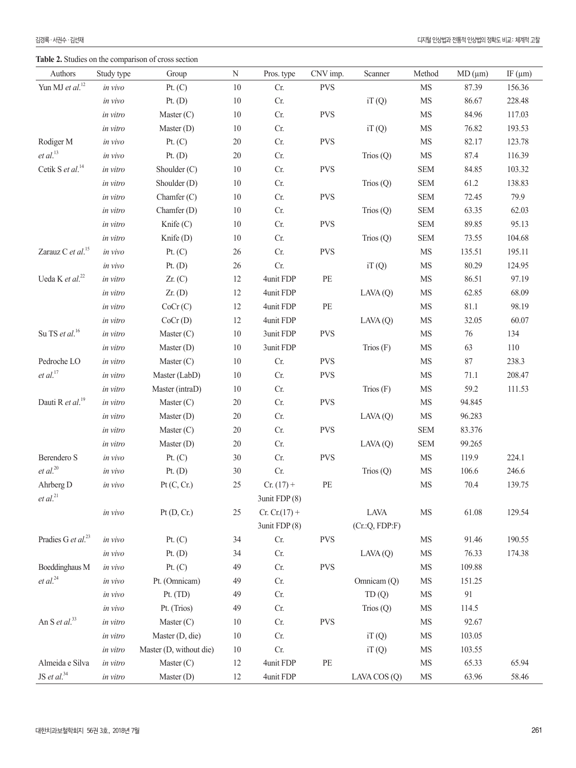**Table 2.** Studies on the comparison of cross section

| Authors                        | Study type | Group                   | N      | Pros. type      | CNV imp.   | Scanner        | Method         | MD (µm)  | IF $(\mu m)$ |
|--------------------------------|------------|-------------------------|--------|-----------------|------------|----------------|----------------|----------|--------------|
| Yun MJ et $al$ . <sup>12</sup> | in vivo    | Pt. $(C)$               | 10     | Cr.             | <b>PVS</b> |                | MS             | 87.39    | 156.36       |
|                                | in vivo    | Pt. $(D)$               | $10\,$ | Cr.             |            | iT(Q)          | $\rm MS$       | 86.67    | 228.48       |
|                                | in vitro   | Master $(C)$            | 10     | Cr.             | <b>PVS</b> |                | $\rm{MS}$      | 84.96    | 117.03       |
|                                | in vitro   | Master $(D)$            | $10\,$ | Cr.             |            | iT(Q)          | MS             | 76.82    | 193.53       |
| Rodiger M                      | in vivo    | Pt. $(C)$               | $20\,$ | Cr.             | <b>PVS</b> |                | MS             | 82.17    | 123.78       |
| et al. <sup>13</sup>           | in vivo    | Pt. $(D)$               | $20\,$ | Cr.             |            | Trios $(Q)$    | $\rm MS$       | 87.4     | 116.39       |
| Cetik S et al. <sup>14</sup>   | in vitro   | Shoulder $(C)$          | $10\,$ | Cr.             | <b>PVS</b> |                | <b>SEM</b>     | 84.85    | 103.32       |
|                                | in vitro   | Shoulder (D)            | $10\,$ | Cr.             |            | Trios $(Q)$    | <b>SEM</b>     | 61.2     | 138.83       |
|                                | in vitro   | Chamfer $(C)$           | $10\,$ | Cr.             | <b>PVS</b> |                | <b>SEM</b>     | 72.45    | 79.9         |
|                                | in vitro   | Chamfer $(D)$           | $10\,$ | Cr.             |            | Trios $(Q)$    | <b>SEM</b>     | 63.35    | 62.03        |
|                                | in vitro   | Knife (C)               | $10\,$ | Cr.             | <b>PVS</b> |                | <b>SEM</b>     | 89.85    | 95.13        |
|                                | in vitro   | Knife $(D)$             | $10\,$ | Cr.             |            | Trios $(Q)$    | SEM            | 73.55    | 104.68       |
| Zarauz C et al. <sup>15</sup>  | in vivo    | Pt. (C)                 | $26\,$ | Cr.             | <b>PVS</b> |                | $\rm MS$       | 135.51   | 195.11       |
|                                | in vivo    | Pt. $(D)$               | $26\,$ | Cr.             |            | iT(Q)          | MS             | 80.29    | 124.95       |
| Ueda K et al. <sup>22</sup>    | in vitro   | $Zr.$ (C)               | 12     | 4unit FDP       | $\rm PE$   |                | $\rm MS$       | 86.51    | 97.19        |
|                                | in vitro   | $Zr.$ (D)               | 12     | 4unit FDP       |            | LAVA(Q)        | MS             | 62.85    | 68.09        |
|                                | in vitro   | CoCr(C)                 | 12     | 4unit FDP       | PE         |                | MS             | $81.1\,$ | 98.19        |
|                                | in vitro   | CoCr(D)                 | 12     | 4unit FDP       |            | LAVA(Q)        | MS             | 32.05    | 60.07        |
| Su TS et al. <sup>16</sup>     | in vitro   | Master $(C)$            | $10\,$ | 3unit FDP       | <b>PVS</b> |                | MS             | 76       | 134          |
|                                | in vitro   | Master $(D)$            | 10     | 3unit FDP       |            | Trios $(F)$    | MS             | 63       | 110          |
| Pedroche LO                    | in vitro   | Master $(C)$            | $10\,$ | Cr.             | <b>PVS</b> |                | $\rm{MS}$      | $87\,$   | 238.3        |
| et al. <sup>17</sup>           | in vitro   | Master (LabD)           | $10\,$ | Cr.             | <b>PVS</b> |                | $\rm{MS}$      | 71.1     | 208.47       |
|                                | in vitro   | Master (intraD)         | $10\,$ | Cr.             |            | Trios $(F)$    | MS             | 59.2     | 111.53       |
| Dauti R et al. <sup>19</sup>   | in vitro   | Master $(C)$            | $20\,$ | Cr.             | <b>PVS</b> |                | MS             | 94.845   |              |
|                                | in vitro   | Master $(D)$            | $20\,$ | Cr.             |            | LAVA(Q)        | $\rm MS$       | 96.283   |              |
|                                | in vitro   | Master $(C)$            | $20\,$ | $\rm Cr.$       | <b>PVS</b> |                | ${\hbox{SEM}}$ | 83.376   |              |
|                                | in vitro   | Master $(D)$            | $20\,$ | Cr.             |            | LAVA(Q)        | <b>SEM</b>     | 99.265   |              |
| Berendero S                    | in vivo    | Pt. $(C)$               | $30\,$ | Cr.             | <b>PVS</b> |                | $\rm MS$       | 119.9    | 224.1        |
| $et$ al. $^{20}$               | in vivo    | Pt. $(D)$               | $30\,$ | $\rm Cr.$       |            | Trios $(Q)$    | $\rm MS$       | 106.6    | 246.6        |
| Ahrberg D                      | in vivo    | Pt(C, Cr.)              | $25\,$ | $Cr. (17) +$    | $\rm PE$   |                | MS             | 70.4     | 139.75       |
| et al. <sup>21</sup>           |            |                         |        | 3unit FDP (8)   |            |                |                |          |              |
|                                | in vivo    | Pt(D, Cr.)              | 25     | $Cr. Cr.(17) +$ |            | LAVA           | $\rm{MS}$      | 61.08    | 129.54       |
|                                |            |                         |        | 3unit FDP (8)   |            | (Cr.:Q, FDP:F) |                |          |              |
| Pradies G et al. <sup>23</sup> | in vivo    | Pt. (C)                 | 34     | Cr.             | <b>PVS</b> |                | $\rm{MS}$      | 91.46    | 190.55       |
|                                | in vivo    | Pt. $(D)$               | 34     | Cr.             |            | LAVA(Q)        | $\rm{MS}$      | 76.33    | 174.38       |
| Boeddinghaus M                 | in vivo    | Pt. $(C)$               | 49     | Cr.             | <b>PVS</b> |                | MS             | 109.88   |              |
| $et$ $al.^{24}$                | in vivo    | Pt. (Omnicam)           | 49     | Cr.             |            | Omnicam (Q)    | MS             | 151.25   |              |
|                                | in vivo    | Pt. $(TD)$              | 49     | Cr.             |            | TD(Q)          | $\rm{MS}$      | 91       |              |
|                                | in vivo    | Pt. (Trios)             | 49     | Cr.             |            | Trios $(Q)$    | $\rm{MS}$      | 114.5    |              |
| An S et al. <sup>33</sup>      | in vitro   | Master $(C)$            | $10\,$ | Cr.             | <b>PVS</b> |                | $\rm{MS}$      | 92.67    |              |
|                                | in vitro   | Master (D, die)         | 10     | Cr.             |            | iT(Q)          | MS             | 103.05   |              |
|                                | in vitro   | Master (D, without die) | $10\,$ | Cr.             |            | iT(Q)          | MS             | 103.55   |              |
| Almeida e Silva                | in vitro   | Master $(C)$            | 12     | 4unit FDP       | $\rm PE$   |                | $\rm{MS}$      | 65.33    | 65.94        |
| JS et al. $34$                 | in vitro   | Master $(D)$            | 12     | 4unit FDP       |            | LAVA COS (Q)   | $\rm MS$       | 63.96    | 58.46        |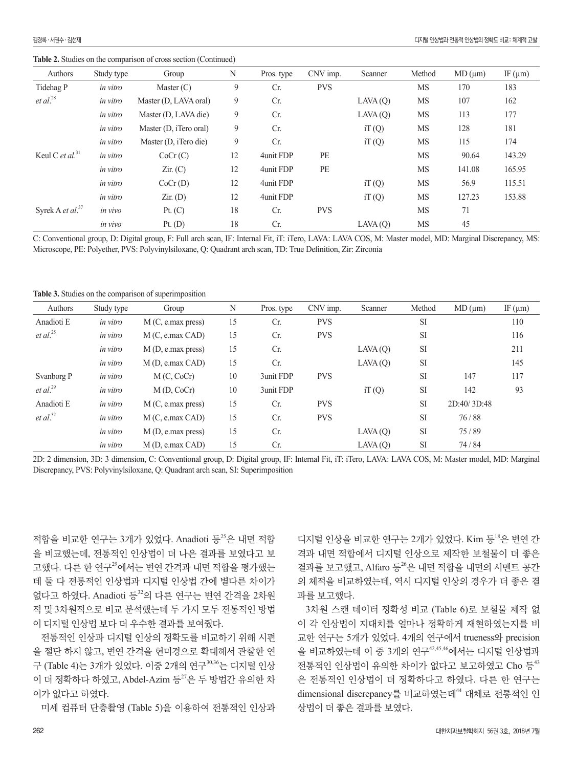**Table 2.** Studies on the comparison of cross section (Continued)

| Authors                             | Study type | Group                  | N  | Pros. type | CNV imp.   | Scanner | Method    | MD (µm) | IF $(\mu m)$ |
|-------------------------------------|------------|------------------------|----|------------|------------|---------|-----------|---------|--------------|
| Tidehag P                           | in vitro   | Master $(C)$           | 9  | Cr.        | <b>PVS</b> |         | <b>MS</b> | 170     | 183          |
| $et$ al. $^{28}$                    | in vitro   | Master (D, LAVA oral)  | 9  | Cr.        |            | LAVA(Q) | <b>MS</b> | 107     | 162          |
|                                     | in vitro   | Master (D, LAVA die)   | 9  | Cr.        |            | LAVA(Q) | MS        | 113     | 177          |
|                                     | in vitro   | Master (D, iTero oral) | 9  | Cr.        |            | iT(Q)   | <b>MS</b> | 128     | 181          |
|                                     | in vitro   | Master (D, iTero die)  | 9  | Cr.        |            | iT(Q)   | MS        | 115     | 174          |
| Keul C <i>et al</i> . <sup>31</sup> | in vitro   | CoCr(C)                | 12 | 4unit FDP  | PE         |         | <b>MS</b> | 90.64   | 143.29       |
|                                     | in vitro   | Zir. (C)               | 12 | 4unit FDP  | PE         |         | <b>MS</b> | 141.08  | 165.95       |
|                                     | in vitro   | CoCr(D)                | 12 | 4unit FDP  |            | iT(Q)   | <b>MS</b> | 56.9    | 115.51       |
|                                     | in vitro   | $Zir.$ (D)             | 12 | 4unit FDP  |            | iT(Q)   | <b>MS</b> | 127.23  | 153.88       |
| Syrek A et al. <sup>37</sup>        | in vivo    | Pt. $(C)$              | 18 | Cr.        | <b>PVS</b> |         | <b>MS</b> | 71      |              |
|                                     | in vivo    | Pt. $(D)$              | 18 | Cr.        |            | LAVA(Q) | MS        | 45      |              |

C: Conventional group, D: Digital group, F: Full arch scan, IF: Internal Fit, iT: iTero, LAVA: LAVA COS, M: Master model, MD: Marginal Discrepancy, MS: Microscope, PE: Polyether, PVS: Polyvinylsiloxane, Q: Quadrant arch scan, TD: True Definition, Zir: Zirconia

**Table 3.** Studies on the comparison of superimposition

| Authors              | Study type | Group                                       | N  | Pros. type | CNV imp.   | Scanner | Method    | MD (µm)     | IF $(\mu m)$ |
|----------------------|------------|---------------------------------------------|----|------------|------------|---------|-----------|-------------|--------------|
| Anadioti E           | in vitro   | M(C, e.max press)                           | 15 | Cr.        | <b>PVS</b> |         | <b>SI</b> |             | 110          |
| et al. $^{25}$       | in vitro   | M(C, e.max CAD)                             | 15 | Cr.        | <b>PVS</b> |         | <b>SI</b> |             | 116          |
|                      | in vitro   | $M(D, e,max \npress)$                       | 15 | Cr.        |            | LAVA(Q) | <b>SI</b> |             | 211          |
|                      | in vitro   | M (D, e.max CAD)                            | 15 | Cr.        |            | LAVA(Q) | <b>SI</b> |             | 145          |
| Svanborg P           | in vitro   | M(C, CoCr)                                  | 10 | 3unit FDP  | <b>PVS</b> |         | <b>SI</b> | 147         | 117          |
| et al. <sup>29</sup> | in vitro   | M(D, CoCr)                                  | 10 | 3unit FDP  |            | iT(Q)   | <b>SI</b> | 142         | 93           |
| Anadioti E           | in vitro   | $M(C, e \text{.} \text{max} \text{ press})$ | 15 | Cr.        | <b>PVS</b> |         | SI        | 2D:40/3D:48 |              |
| et al. $^{32}$       | in vitro   | M(C, e.max CAD)                             | 15 | Cr.        | <b>PVS</b> |         | <b>SI</b> | 76/88       |              |
|                      | in vitro   | M(D, e.max press)                           | 15 | Cr.        |            | LAVA(Q) | <b>SI</b> | 75/89       |              |
|                      | in vitro   | M (D, e.max CAD)                            | 15 | Cr.        |            | LAVA(Q) | <b>SI</b> | 74 / 84     |              |

2D: 2 dimension, 3D: 3 dimension, C: Conventional group, D: Digital group, IF: Internal Fit, iT: iTero, LAVA: LAVA COS, M: Master model, MD: Marginal Discrepancy, PVS: Polyvinylsiloxane, Q: Quadrant arch scan, SI: Superimposition

적합을 비교한 연구는 3개가 있었다. Anadioti 등 $^{25}$ 은 내면 적합 을 비교했는데, 전통적인 인상법이 더 나은 결과를 보였다고 보 고했다. 다른 한 연구<sup>29</sup>에서는 변연 간격과 내면 적합을 평가했는 데 둘 다 전통적인 인상법과 디지털 인상법 간에 별다른 차이가 없다고 하였다. Anadioti 등 $32$ 의 다른 연구는 변연 간격을 2차원 적 및 3차원적으로 비교 분석했는데 두 가지 모두 전통적인 방법 이 디지털 인상법 보다 더 우수한 결과를 보여줬다.

전통적인 인상과 디지털 인상의 정확도를 비교하기 위해 시편 을 절단 하지 않고, 변연 간격을 현미경으로 확대해서 관찰한 연 구 (Table 4)는 3개가 있었다. 이중 2개의 연구30,36는 디지털 인상 이 더 정확하다 하였고, Abdel-Azim 등 $^{27}$ 은 두 방법간 유의한 차 이가 없다고 하였다.

미세 컴퓨터 단층촬영 (Table 5)을 이용하여 전통적인 인상과

디지털 인상을 비교한 연구는 2개가 있었다. Kim 등 $18$ 은 변연 간 격과 내면 적합에서 디지털 인상으로 제작한 보철물이 더 좋은 결과를 보고했고, Alfaro 등 $^{26}$ 은 내면 적합을 내면의 시멘트 공간 의 체적을 비교하였는데, 역시 디지털 인상의 경우가 더 좋은 결 과를 보고했다.

3차원 스캔 데이터 정확성 비교 (Table 6)로 보철물 제작 없 이 각 인상법이 지대치를 얼마나 정확하게 재현하였는지를 비 교한 연구는 5개가 있었다. 4개의 연구에서 trueness와 precision 을 비교하였는데 이 중 3개의 연구42,45,46에서는 디지털 인상법과 전통적인 인상법이 유의한 차이가 없다고 보고하였고 Cho 등<sup>43</sup> 은 전통적인 인상법이 더 정확하다고 하였다. 다른 한 연구는 dimensional discrepancy를 비교하였는데<sup>44</sup> 대체로 전통적인 인 상법이 더 좋은 결과를 보였다.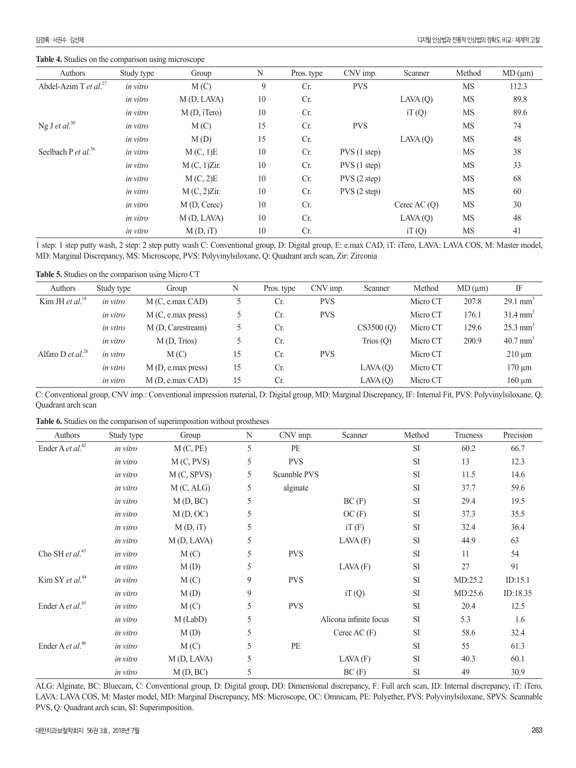**Table 4.** Studies on the comparison using microscope

| Authors                           | Study type | Group       | N  | Pros. type | CNV imp.    | Scanner        | Method    | MD (µm) |
|-----------------------------------|------------|-------------|----|------------|-------------|----------------|-----------|---------|
| Abdel-Azim T et al. <sup>27</sup> | in vitro   | M(C)        | 9  | Cr.        | <b>PVS</b>  |                | <b>MS</b> | 112.3   |
|                                   | in vitro   | M(D, LAVA)  | 10 | Cr.        |             | LAVA(Q)        | <b>MS</b> | 89.8    |
|                                   | in vitro   | M(D, iTero) | 10 | Cr.        |             | iT(Q)          | <b>MS</b> | 89.6    |
| Ng J et al. <sup>30</sup>         | in vitro   | M(C)        | 15 | Cr.        | <b>PVS</b>  |                | <b>MS</b> | 74      |
|                                   | in vitro   | M(D)        | 15 | Cr.        |             | LAVA(Q)        | <b>MS</b> | 48      |
| Seelbach P et al. <sup>36</sup>   | in vitro   | M(C, 1)E    | 10 | Cr.        | PVS(1 step) |                | <b>MS</b> | 38      |
|                                   | in vitro   | M(C, 1)Zir. | 10 | Cr.        | PVS(1 step) |                | <b>MS</b> | 33      |
|                                   | in vitro   | M(C, 2)E    | 10 | Cr.        | PVS(2 step) |                | <b>MS</b> | 68      |
|                                   | in vitro   | M(C, 2)Zir. | 10 | Cr.        | PVS(2 step) |                | <b>MS</b> | 60      |
|                                   | in vitro   | M(D, Cerec) | 10 | Cr.        |             | Cerec AC $(Q)$ | <b>MS</b> | 30      |
|                                   | in vitro   | M(D, LAVA)  | 10 | Cr.        |             | LAVA(Q)        | MS        | 48      |
|                                   | in vitro   | M(D, iT)    | 10 | Cr.        |             | iT(Q)          | MS        | 41      |

1 step: 1 step putty wash, 2 step: 2 step putty wash C: Conventional group, D: Digital group, E: e.max CAD, iT: iTero, LAVA: LAVA COS, M: Master model, MD: Marginal Discrepancy, MS: Microscope, PVS: Polyvinylsiloxane, Q: Quadrant arch scan, Zir: Zirconia

**Table 5.** Studies on the comparison using Micro CT

| Authors                              | Study type | Group                     | N  | Pros. type | CNV imp.   | Scanner     | Method   | MD (µm) | IF                     |
|--------------------------------------|------------|---------------------------|----|------------|------------|-------------|----------|---------|------------------------|
| Kim JH et al. <sup>18</sup>          | in vitro   | M(C, e.max CAD)           |    | Cr.        | <b>PVS</b> |             | Micro CT | 207.8   | $29.1$ mm <sup>3</sup> |
|                                      | in vitro   | M(C, e.max press)         |    | Cr.        | <b>PVS</b> |             | Micro CT | 176.1   | $31.4 \text{ mm}^3$    |
|                                      | in vitro   | M (D, Carestream)         |    | Cr.        |            | CS3500(0)   | Micro CT | 129.6   | $25.3$ mm <sup>3</sup> |
|                                      | in vitro   | M(D, Trios)               |    | Cr.        |            | Trios $(Q)$ | Micro CT | 200.9   | $40.7$ mm <sup>3</sup> |
| Alfaro D <i>et al.</i> <sup>26</sup> | in vitro   | M(C)                      | 15 | Cr.        | <b>PVS</b> |             | Micro CT |         | $210 \mu m$            |
|                                      | in vitro   | $M(D, e, max \nexists x)$ | 15 | Cr.        |            | LAVA(Q)     | Micro CT |         | $170 \mu m$            |
|                                      | in vitro   | M(D, e.max CAD)           | 15 | Cr.        |            | LAVA(Q)     | Micro CT |         | $160 \mu m$            |

C: Conventional group, CNV imp.: Conventional impression material, D: Digital group, MD: Marginal Discrepancy, IF: Internal Fit, PVS: Polyvinylsiloxane, Q: Quadrant arch scan

**Table 6.** Studies on the comparison of superimposition without prostheses

| Authors                      | Study type | Group      | N | CNV imp.     | Scanner                | Method    | Trueness | Precision |
|------------------------------|------------|------------|---|--------------|------------------------|-----------|----------|-----------|
| Ender A et al. <sup>42</sup> | in vitro   | M(C, PE)   | 5 | PE           |                        | <b>SI</b> | 60.2     | 66.7      |
|                              | in vitro   | M(C, PVS)  | 5 | <b>PVS</b>   |                        | SI        | 13       | 12.3      |
|                              | in vitro   | M(C, SPVS) | 5 | Scannble PVS |                        | <b>SI</b> | 11.5     | 14.6      |
|                              | in vitro   | M(C, ALG)  | 5 | alginate     |                        | SI        | 37.7     | 59.6      |
|                              | in vitro   | M(D, BC)   | 5 |              | BC(F)                  | SI        | 29.4     | 19.5      |
|                              | in vitro   | M(D, OC)   | 5 |              | OC(F)                  | SI        | 37.3     | 35.5      |
|                              | in vitro   | M(D, iT)   | 5 |              | iT(F)                  | SI        | 32.4     | 36.4      |
|                              | in vitro   | M(D, LAVA) | 5 |              | LAVA(F)                | SI        | 44.9     | 63        |
| Cho SH et al. <sup>43</sup>  | in vitro   | M(C)       | 5 | <b>PVS</b>   |                        | SI        | 11       | 54        |
|                              | in vitro   | M(D)       | 5 |              | LAVA(F)                | <b>SI</b> | 27       | 91        |
| Kim SY et al. $44$           | in vitro   | M(C)       | 9 | <b>PVS</b>   |                        | SI        | MD:25.2  | ID:15.1   |
|                              | in vitro   | M(D)       | 9 |              | iT(Q)                  | <b>SI</b> | MD:25.6  | ID:18.35  |
| Ender A et al. <sup>45</sup> | in vitro   | M(C)       | 5 | <b>PVS</b>   |                        | SI        | 20.4     | 12.5      |
|                              | in vitro   | $M$ (LabD) | 5 |              | Alicona infinite focus | <b>SI</b> | 5.3      | 1.6       |
|                              | in vitro   | M(D)       | 5 |              | Cerec AC $(F)$         | SI        | 58.6     | 32.4      |
| Ender A et al. <sup>46</sup> | in vitro   | M(C)       | 5 | PE           |                        | <b>SI</b> | 55       | 61.3      |
|                              | in vitro   | M(D, LAVA) | 5 |              | LAVA(F)                | SI        | 40.3     | 60.1      |
|                              | in vitro   | M(D, BC)   | 5 |              | BC(F)                  | SI        | 49       | 30.9      |

ALG: Alginate, BC: Bluecam, C: Conventional group, D: Digital group, DD: Dimensional discrepancy, F: Full arch scan, ID: Internal discrepancy, iT: iTero, LAVA: LAVA COS, M: Master model, MD: Marginal Discrepancy, MS: Microscope, OC: Omnicam, PE: Polyether, PVS: Polyvinylsiloxane, SPVS: Scannable PVS, Q: Quadrant arch scan, SI: Superimposition.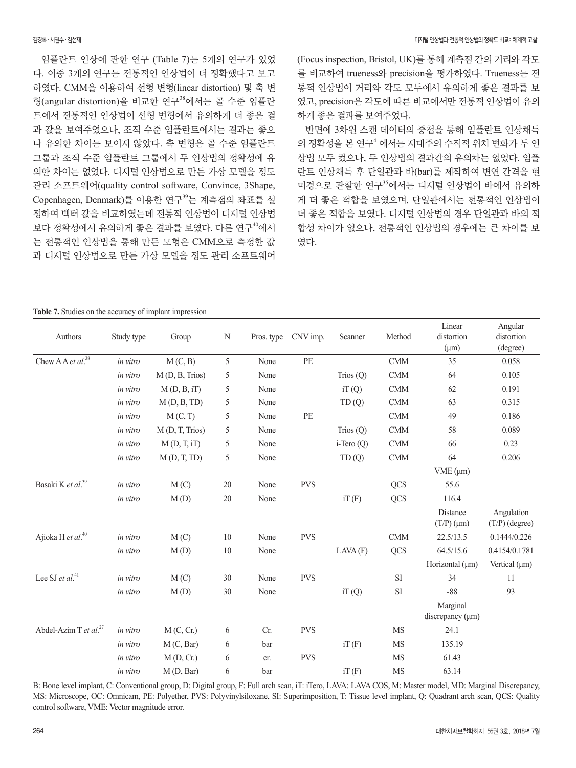임플란트 인상에 관한 연구 (Table 7)는 5개의 연구가 있었 다. 이중 3개의 연구는 전통적인 인상법이 더 정확했다고 보고 하였다. CMM을 이용하여 선형 변형(linear distortion) 및 축 변 형(angular distortion)을 비교한 연구<sup>38</sup>에서는 골 수준 임플란 트에서 전통적인 인상법이 선형 변형에서 유의하게 더 좋은 결 과 값을 보여주었으나, 조직 수준 임플란트에서는 결과는 좋으 나 유의한 차이는 보이지 않았다. 축 변형은 골 수준 임플란트 그룹과 조직 수준 임플란트 그룹에서 두 인상법의 정확성에 유 의한 차이는 없었다. 디지털 인상법으로 만든 가상 모델을 정도 관리 소프트웨어(quality control software, Convince, 3Shape, Copenhagen, Denmark)를 이용한 연구<sup>39</sup>는 계측점의 좌표를 설 정하여 벡터 값을 비교하였는데 전통적 인상법이 디지털 인상법 보다 정확성에서 유의하게 좋은 결과를 보였다. 다른 연구<sup>40</sup>에서 는 전통적인 인상법을 통해 만든 모형은 CMM으로 측정한 값 과 디지털 인상법으로 만든 가상 모델을 정도 관리 소프트웨어 (Focus inspection, Bristol, UK)를 통해 계측점 간의 거리와 각도 를 비교하여 trueness와 precision을 평가하였다. Trueness는 전 통적 인상법이 거리와 각도 모두에서 유의하게 좋은 결과를 보 였고, precision은 각도에 따른 비교에서만 전통적 인상법이 유의 하게 좋은 결과를 보여주었다.

반면에 3차원 스캔 데이터의 중첩을 통해 임플란트 인상채득 의 정확성을 본 연구<sup>41</sup>에서는 지대주의 수직적 위치 변화가 두 인 상법 모두 컸으나, 두 인상법의 결과간의 유의차는 없었다. 임플 란트 인상채득 후 단일관과 바(bar)를 제작하여 변연 간격을 현 미경으로 관찰한 연구<sup>35</sup>에서는 디지털 인상법이 바에서 유의하 게 더 좋은 적합을 보였으며, 단일관에서는 전통적인 인상법이 더 좋은 적합을 보였다. 디지털 인상법의 경우 단일관과 바의 적 합성 차이가 없으나, 전통적인 인상법의 경우에는 큰 차이를 보 였다.

#### **Table 7.** Studies on the accuracy of implant impression

| Authors                           | Study type | Group          | $\mathbf N$ | Pros. type | CNV imp.   | Scanner         | Method     | Linear<br>distortion<br>$(\mu m)$ | Angular<br>distortion<br>(degree) |
|-----------------------------------|------------|----------------|-------------|------------|------------|-----------------|------------|-----------------------------------|-----------------------------------|
| Chew A A et al. <sup>38</sup>     | in vitro   | M(C, B)        | $\sqrt{5}$  | None       | PE         |                 | CMM        | 35                                | 0.058                             |
|                                   | in vitro   | M(D, B, Trios) | 5           | None       |            | Trios $(Q)$     | CMM        | 64                                | 0.105                             |
|                                   | in vitro   | M(D, B, iT)    | 5           | None       |            | iT(Q)           | $\rm CMM$  | 62                                | 0.191                             |
|                                   | in vitro   | M(D, B, TD)    | 5           | None       |            | TD(Q)           | CMM        | 63                                | 0.315                             |
|                                   | in vitro   | M(C, T)        | 5           | None       | $\rm PE$   |                 | CMM        | 49                                | 0.186                             |
|                                   | in vitro   | M(D, T, Trios) | 5           | None       |            | Trios $(Q)$     | <b>CMM</b> | 58                                | 0.089                             |
|                                   | in vitro   | M(D, T, iT)    | 5           | None       |            | $i$ -Tero $(Q)$ | $\rm CMM$  | 66                                | 0.23                              |
|                                   | in vitro   | M(D, T, TD)    | 5           | None       |            | TD(Q)           | <b>CMM</b> | 64                                | 0.206                             |
|                                   |            |                |             |            |            |                 |            | VME (µm)                          |                                   |
| Basaki K et al. <sup>39</sup>     | in vitro   | M(C)           | $20\,$      | None       | <b>PVS</b> |                 | <b>QCS</b> | 55.6                              |                                   |
|                                   | in vitro   | M(D)           | 20          | None       |            | iT(F)           | <b>QCS</b> | 116.4                             |                                   |
|                                   |            |                |             |            |            |                 |            | Distance<br>$(T/P)(\mu m)$        | Angulation<br>$(T/P)$ (degree)    |
| Ajioka H et al. <sup>40</sup>     | in vitro   | M(C)           | $10\,$      | None       | <b>PVS</b> |                 | <b>CMM</b> | 22.5/13.5                         | 0.1444/0.226                      |
|                                   | in vitro   | M(D)           | $10\,$      | None       |            | LAVA(F)         | <b>QCS</b> | 64.5/15.6                         | 0.4154/0.1781                     |
|                                   |            |                |             |            |            |                 |            | Horizontal $(\mu m)$              | Vertical $(\mu m)$                |
| Lee SJ et al. $41$                | in vitro   | M(C)           | 30          | None       | <b>PVS</b> |                 | $\rm SI$   | 34                                | 11                                |
|                                   | in vitro   | M(D)           | 30          | None       |            | iT(Q)           | $\rm SI$   | $-88$                             | 93                                |
|                                   |            |                |             |            |            |                 |            | Marginal<br>discrepancy $(\mu m)$ |                                   |
| Abdel-Azim T et al. <sup>27</sup> | in vitro   | M(C, Cr.)      | 6           | Cr.        | <b>PVS</b> |                 | <b>MS</b>  | 24.1                              |                                   |
|                                   | in vitro   | M(C, Bar)      | 6           | bar        |            | iT(F)           | <b>MS</b>  | 135.19                            |                                   |
|                                   | in vitro   | M(D, Cr.)      | 6           | cr.        | <b>PVS</b> |                 | <b>MS</b>  | 61.43                             |                                   |
|                                   | in vitro   | M(D, Bar)      | 6           | bar        |            | iT(F)           | <b>MS</b>  | 63.14                             |                                   |

B: Bone level implant, C: Conventional group, D: Digital group, F: Full arch scan, iT: iTero, LAVA: LAVA COS, M: Master model, MD: Marginal Discrepancy, MS: Microscope, OC: Omnicam, PE: Polyether, PVS: Polyvinylsiloxane, SI: Superimposition, T: Tissue level implant, Q: Quadrant arch scan, QCS: Quality control software, VME: Vector magnitude error.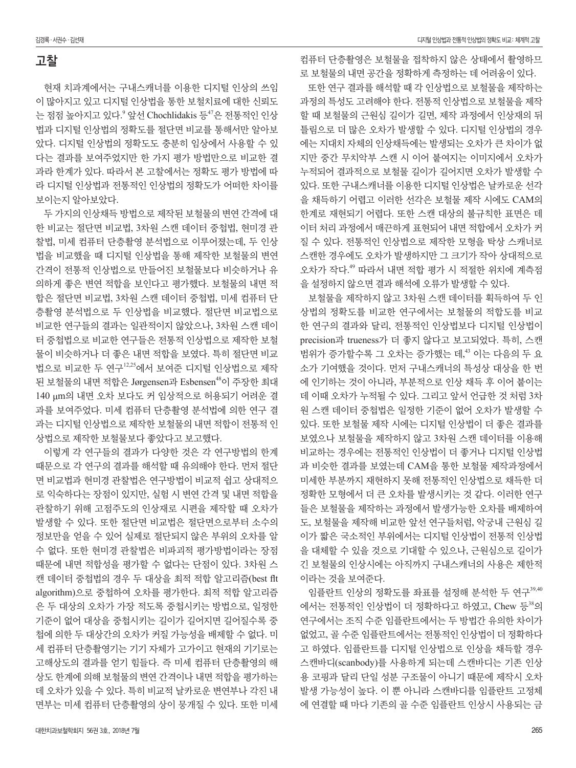#### 고찰

현재 치과계에서는 구내스캐너를 이용한 디지털 인상의 쓰임 이 많아지고 있고 디지털 인상법을 통한 보철치료에 대한 신뢰도 는 점점 높아지고 있다.<sup>9</sup> 앞선 Chochlidakis 등<sup>47</sup>은 전통적인 인상 법과 디지털 인상법의 정확도를 절단면 비교를 통해서만 알아보 았다. 디지털 인상법의 정확도도 충분히 임상에서 사용할 수 있 다는 결과를 보여주었지만 한 가지 평가 방법만으로 비교한 결 과라 한계가 있다. 따라서 본 고찰에서는 정확도 평가 방법에 따 라 디지털 인상법과 전통적인 인상법의 정확도가 어떠한 차이를 보이는지 알아보았다.

두 가지의 인상채득 방법으로 제작된 보철물의 변연 간격에 대 한 비교는 절단면 비교법, 3차원 스캔 데이터 중첩법, 현미경 관 찰법, 미세 컴퓨터 단층촬영 분석법으로 이루어졌는데, 두 인상 법을 비교했을 때 디지털 인상법을 통해 제작한 보철물의 변연 간격이 전통적 인상법으로 만들어진 보철물보다 비슷하거나 유 의하게 좋은 변연 적합을 보인다고 평가했다. 보철물의 내면 적 합은 절단면 비교법, 3차원 스캔 데이터 중첩법, 미세 컴퓨터 단 층촬영 분석법으로 두 인상법을 비교했다. 절단면 비교법으로 비교한 연구들의 결과는 일관적이지 않았으나, 3차원 스캔 데이 터 중첩법으로 비교한 연구들은 전통적 인상법으로 제작한 보철 물이 비슷하거나 더 좋은 내면 적합을 보였다. 특히 절단면 비교 법으로 비교한 두 연구12,25에서 보여준 디지털 인상법으로 제작 된 보철물의 내면 적합은 Jørgensen과 Esbensen<sup>48</sup>이 주장한 최대 140 μm의 내면 오차 보다도 커 임상적으로 허용되기 어려운 결 과를 보여주었다. 미세 컴퓨터 단층촬영 분석법에 의한 연구 결 과는 디지털 인상법으로 제작한 보철물의 내면 적합이 전통적 인 상법으로 제작한 보철물보다 좋았다고 보고했다.

이렇게 각 연구들의 결과가 다양한 것은 각 연구방법의 한계 때문으로 각 연구의 결과를 해석할 때 유의해야 한다. 먼저 절단 면 비교법과 현미경 관찰법은 연구방법이 비교적 쉽고 상대적으 로 익숙하다는 장점이 있지만, 실험 시 변연 간격 및 내면 적합을 관찰하기 위해 고점주도의 인상재로 시편을 제작할 때 오차가 발생할 수 있다. 또한 절단면 비교법은 절단면으로부터 소수의 정보만을 얻을 수 있어 실제로 절단되지 않은 부위의 오차를 알 수 없다. 또한 현미경 관찰법은 비파괴적 평가방법이라는 장점 때문에 내면 적합성을 평가할 수 없다는 단점이 있다. 3차원 스 캔 데이터 중첩법의 경우 두 대상을 최적 적합 알고리즘(best flt algorithm)으로 중첩하여 오차를 평가한다. 최적 적합 알고리즘 은 두 대상의 오차가 가장 적도록 중첩시키는 방법으로, 일정한 기준이 없어 대상을 중첩시키는 길이가 길어지면 길어질수록 중 첩에 의한 두 대상간의 오차가 커질 가능성을 배제할 수 없다. 미 세 컴퓨터 단층촬영기는 기기 자체가 고가이고 현재의 기기로는 고해상도의 결과를 얻기 힘들다. 즉 미세 컴퓨터 단층촬영의 해 상도 한계에 의해 보철물의 변연 간격이나 내면 적합을 평가하는 데 오차가 있을 수 있다. 특히 비교적 날카로운 변연부나 각진 내 면부는 미세 컴퓨터 단층촬영의 상이 뭉개질 수 있다. 또한 미세

컴퓨터 단층촬영은 보철물을 접착하지 않은 상태에서 촬영하므 로 보철물의 내면 공간을 정확하게 측정하는 데 어려움이 있다.

또한 연구 결과를 해석할 때 각 인상법으로 보철물을 제작하는 과정의 특성도 고려해야 한다. 전통적 인상법으로 보철물을 제작 할 때 보철물의 근원심 길이가 길면, 제작 과정에서 인상재의 뒤 틀림으로 더 많은 오차가 발생할 수 있다. 디지털 인상법의 경우 에는 지대치 자체의 인상채득에는 발생되는 오차가 큰 차이가 없 지만 중간 무치악부 스캔 시 이어 붙여지는 이미지에서 오차가 누적되어 결과적으로 보철물 길이가 길어지면 오차가 발생할 수 있다. 또한 구내스캐너를 이용한 디지털 인상법은 날카로운 선각 을 채득하기 어렵고 이러한 선각은 보철물 제작 시에도 CAM의 한계로 재현되기 어렵다. 또한 스캔 대상의 불규칙한 표면은 데 이터 처리 과정에서 매끈하게 표현되어 내면 적합에서 오차가 커 질 수 있다. 전통적인 인상법으로 제작한 모형을 탁상 스캐너로 스캔한 경우에도 오차가 발생하지만 그 크기가 작아 상대적으로 오차가 작다.<sup>49</sup> 따라서 내면 적합 평가 시 적절한 위치에 계측점 을 설정하지 않으면 결과 해석에 오류가 발생할 수 있다.

보철물을 제작하지 않고 3차원 스캔 데이터를 획득하여 두 인 상법의 정확도를 비교한 연구에서는 보철물의 적합도를 비교 한 연구의 결과와 달리, 전통적인 인상법보다 디지털 인상법이 precision과 trueness가 더 좋지 않다고 보고되었다. 특히, 스캔 범위가 증가할수록 그 오차는 증가했는 데, <sup>43</sup> 이는 다음의 두 요 소가 기여했을 것이다. 먼저 구내스캐너의 특성상 대상을 한 번 에 인기하는 것이 아니라, 부분적으로 인상 채득 후 이어 붙이는 데 이때 오차가 누적될 수 있다. 그리고 앞서 언급한 것 처럼 3차 원 스캔 데이터 중첩법은 일정한 기준이 없어 오차가 발생할 수 있다. 또한 보철물 제작 시에는 디지털 인상법이 더 좋은 결과를 보였으나 보철물을 제작하지 않고 3차원 스캔 데이터를 이용해 비교하는 경우에는 전통적인 인상법이 더 좋거나 디지털 인상법 과 비슷한 결과를 보였는데 CAM을 통한 보철물 제작과정에서 미세한 부분까지 재현하지 못해 전통적인 인상법으로 채득한 더 정확한 모형에서 더 큰 오차를 발생시키는 것 같다. 이러한 연구 들은 보철물을 제작하는 과정에서 발생가능한 오차를 배제하여 도, 보철물을 제작해 비교한 앞선 연구들처럼, 악궁내 근원심 길 이가 짧은 국소적인 부위에서는 디지털 인상법이 전통적 인상법 을 대체할 수 있을 것으로 기대할 수 있으나, 근원심으로 길이가 긴 보철물의 인상시에는 아직까지 구내스캐너의 사용은 제한적 이라는 것을 보여준다.

임플란트 인상의 정확도를 좌표를 설정해 분석한 두 연구39,40 에서는 전통적인 인상법이 더 정확하다고 하였고, Chew 등 $^{38}$ 의 연구에서는 조직 수준 임플란트에서는 두 방법간 유의한 차이가 없었고, 골 수준 임플란트에서는 전통적인 인상법이 더 정확하다 고 하였다. 임플란트를 디지털 인상법으로 인상을 채득할 경우 스캔바디(scanbody)를 사용하게 되는데 스캔바디는 기존 인상 용 코핑과 달리 단일 성분 구조물이 아니기 때문에 제작시 오차 발생 가능성이 높다. 이 뿐 아니라 스캔바디를 임플란트 고정체 에 연결할 때 마다 기존의 골 수준 임플란트 인상시 사용되는 금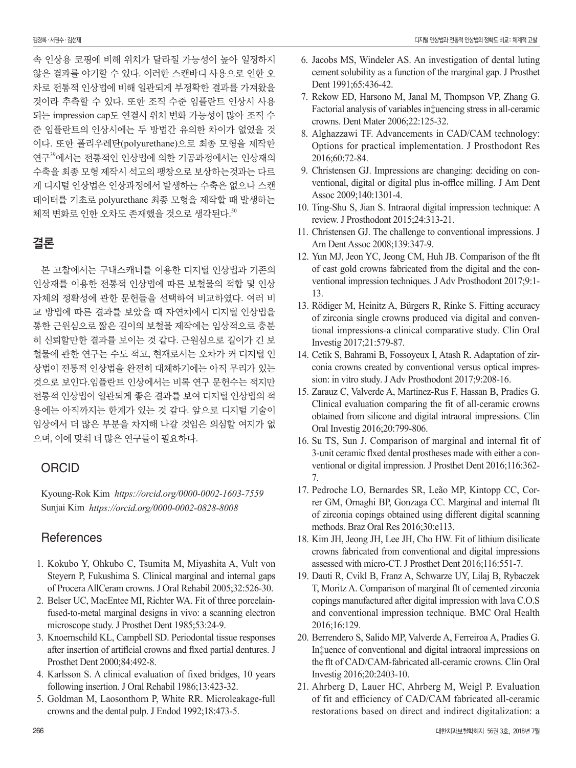속 인상용 코핑에 비해 위치가 달라질 가능성이 높아 일정하지 않은 결과를 야기할 수 있다. 이러한 스캔바디 사용으로 인한 오 차로 전통적 인상법에 비해 일관되게 부정확한 결과를 가져왔을 것이라 추측할 수 있다. 또한 조직 수준 임플란트 인상시 사용 되는 impression cap도 연결시 위치 변화 가능성이 많아 조직 수 준 임플란트의 인상시에는 두 방법간 유의한 차이가 없었을 것 이다. 또한 폴리우레탄(polyurethane)으로 최종 모형을 제작한 연구<sup>39</sup>에서는 전통적인 인상법에 의한 기공과정에서는 인상재의 수축을 최종 모형 제작시 석고의 팽창으로 보상하는것과는 다르 게 디지털 인상법은 인상과정에서 발생하는 수축은 없으나 스캔 데이터를 기초로 polyurethane 최종 모형을 제작할 때 발생하는 체적 변화로 인한 오차도 존재했을 것으로 생각된다. 50

### 결론

본 고찰에서는 구내스캐너를 이용한 디지털 인상법과 기존의 인상재를 이용한 전통적 인상법에 따른 보철물의 적합 및 인상 자체의 정확성에 관한 문헌들을 선택하여 비교하였다. 여러 비 교 방법에 따른 결과를 보았을 때 자연치에서 디지털 인상법을 통한 근원심으로 짧은 길이의 보철물 제작에는 임상적으로 충분 히 신뢰할만한 결과를 보이는 것 같다. 근원심으로 길이가 긴 보 철물에 관한 연구는 수도 적고, 현재로서는 오차가 커 디지털 인 상법이 전통적 인상법을 완전히 대체하기에는 아직 무리가 있는 것으로 보인다.임플란트 인상에서는 비록 연구 문헌수는 적지만 전통적 인상법이 일관되게 좋은 결과를 보여 디지털 인상법의 적 용에는 아직까지는 한계가 있는 것 같다. 앞으로 디지털 기술이 임상에서 더 많은 부분을 차지해 나갈 것임은 의심할 여지가 없 으며, 이에 맞춰 더 많은 연구들이 필요하다.

### **ORCID**

Kyoung-Rok Kim *https://orcid.org/0000-0002-1603-7559* Sunjai Kim *https://orcid.org/0000-0002-0828-8008*

### **References**

- 1. Kokubo Y, Ohkubo C, Tsumita M, Miyashita A, Vult von Steyern P, Fukushima S. Clinical marginal and internal gaps of Procera AllCeram crowns. J Oral Rehabil 2005;32:526-30.
- 2. Belser UC, MacEntee MI, Richter WA. Fit of three porcelainfused-to-metal marginal designs in vivo: a scanning electron microscope study. J Prosthet Dent 1985;53:24-9.
- 3. Knoernschild KL, Campbell SD. Periodontal tissue responses after insertion of artiflcial crowns and flxed partial dentures. J Prosthet Dent 2000;84:492-8.
- 4. Karlsson S. A clinical evaluation of fixed bridges, 10 years following insertion. J Oral Rehabil 1986;13:423-32.
- 5. Goldman M, Laosonthorn P, White RR. Microleakage-full crowns and the dental pulp. J Endod 1992;18:473-5.
- 6. Jacobs MS, Windeler AS. An investigation of dental luting cement solubility as a function of the marginal gap. J Prosthet Dent 1991;65:436-42.
- 7. Rekow ED, Harsono M, Janal M, Thompson VP, Zhang G. Factorial analysis of variables in‡uencing stress in all-ceramic crowns. Dent Mater 2006;22:125-32.
- 8. Alghazzawi TF. Advancements in CAD/CAM technology: Options for practical implementation. J Prosthodont Res 2016;60:72-84.
- 9. Christensen GJ. Impressions are changing: deciding on conventional, digital or digital plus in-offlce milling. J Am Dent Assoc 2009;140:1301-4.
- 10. Ting-Shu S, Jian S. Intraoral digital impression technique: A review. J Prosthodont 2015;24:313-21.
- 11. Christensen GJ. The challenge to conventional impressions. J Am Dent Assoc 2008;139:347-9.
- 12. Yun MJ, Jeon YC, Jeong CM, Huh JB. Comparison of the flt of cast gold crowns fabricated from the digital and the conventional impression techniques. J Adv Prosthodont 2017;9:1- 13.
- 13. Rödiger M, Heinitz A, Bürgers R, Rinke S. Fitting accuracy of zirconia single crowns produced via digital and conventional impressions-a clinical comparative study. Clin Oral Investig 2017;21:579-87.
- 14. Cetik S, Bahrami B, Fossoyeux I, Atash R. Adaptation of zirconia crowns created by conventional versus optical impression: in vitro study. J Adv Prosthodont 2017;9:208-16.
- 15. Zarauz C, Valverde A, Martinez-Rus F, Hassan B, Pradies G. Clinical evaluation comparing the fit of all-ceramic crowns obtained from silicone and digital intraoral impressions. Clin Oral Investig 2016;20:799-806.
- 16. Su TS, Sun J. Comparison of marginal and internal fit of 3-unit ceramic flxed dental prostheses made with either a conventional or digital impression. J Prosthet Dent 2016;116:362- 7.
- 17. Pedroche LO, Bernardes SR, Leão MP, Kintopp CC, Correr GM, Ornaghi BP, Gonzaga CC. Marginal and internal flt of zirconia copings obtained using different digital scanning methods. Braz Oral Res 2016;30:e113.
- 18. Kim JH, Jeong JH, Lee JH, Cho HW. Fit of lithium disilicate crowns fabricated from conventional and digital impressions assessed with micro-CT. J Prosthet Dent 2016;116:551-7.
- 19. Dauti R, Cvikl B, Franz A, Schwarze UY, Lilaj B, Rybaczek T, Moritz A. Comparison of marginal flt of cemented zirconia copings manufactured after digital impression with lava C.O.S and conventional impression technique. BMC Oral Health 2016;16:129.
- 20. Berrendero S, Salido MP, Valverde A, Ferreiroa A, Pradíes G. In‡uence of conventional and digital intraoral impressions on the flt of CAD/CAM-fabricated all-ceramic crowns. Clin Oral Investig 2016;20:2403-10.
- 21. Ahrberg D, Lauer HC, Ahrberg M, Weigl P. Evaluation of fit and efficiency of CAD/CAM fabricated all-ceramic restorations based on direct and indirect digitalization: a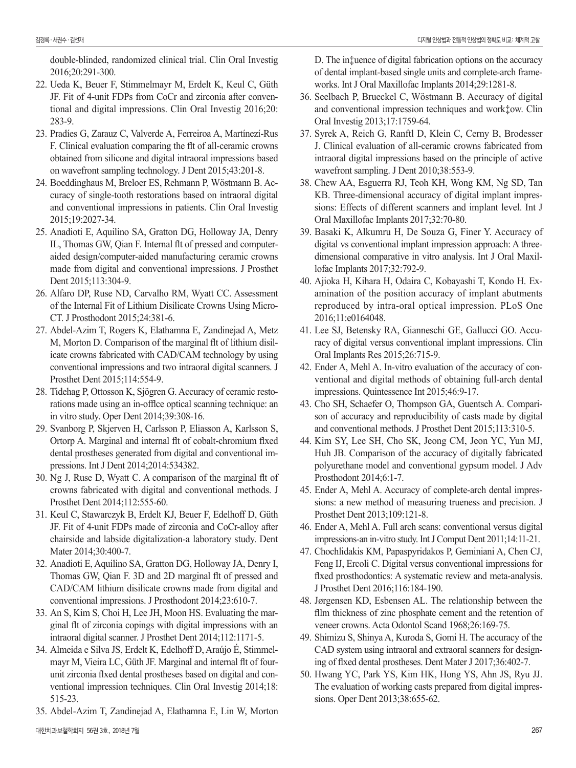double-blinded, randomized clinical trial. Clin Oral Investig 2016;20:291-300.

- 22. Ueda K, Beuer F, Stimmelmayr M, Erdelt K, Keul C, Güth JF. Fit of 4-unit FDPs from CoCr and zirconia after conventional and digital impressions. Clin Oral Investig 2016;20: 283-9.
- 23. Pradíes G, Zarauz C, Valverde A, Ferreiroa A, Martínezí-Rus F. Clinical evaluation comparing the flt of all-ceramic crowns obtained from silicone and digital intraoral impressions based on wavefront sampling technology. J Dent 2015;43:201-8.
- 24. Boeddinghaus M, Breloer ES, Rehmann P, Wöstmann B. Accuracy of single-tooth restorations based on intraoral digital and conventional impressions in patients. Clin Oral Investig 2015;19:2027-34.
- 25. Anadioti E, Aquilino SA, Gratton DG, Holloway JA, Denry IL, Thomas GW, Qian F. Internal flt of pressed and computeraided design/computer-aided manufacturing ceramic crowns made from digital and conventional impressions. J Prosthet Dent 2015;113:304-9.
- 26. Alfaro DP, Ruse ND, Carvalho RM, Wyatt CC. Assessment of the Internal Fit of Lithium Disilicate Crowns Using Micro-CT. J Prosthodont 2015;24:381-6.
- 27. Abdel-Azim T, Rogers K, Elathamna E, Zandinejad A, Metz M, Morton D. Comparison of the marginal flt of lithium disilicate crowns fabricated with CAD/CAM technology by using conventional impressions and two intraoral digital scanners. J Prosthet Dent 2015;114:554-9.
- 28. Tidehag P, Ottosson K, Sjögren G. Accuracy of ceramic restorations made using an in-offlce optical scanning technique: an in vitro study. Oper Dent 2014;39:308-16.
- 29. Svanborg P, Skjerven H, Carlsson P, Eliasson A, Karlsson S, Ortorp A. Marginal and internal flt of cobalt-chromium flxed dental prostheses generated from digital and conventional impressions. Int J Dent 2014;2014:534382.
- 30. Ng J, Ruse D, Wyatt C. A comparison of the marginal flt of crowns fabricated with digital and conventional methods. J Prosthet Dent 2014;112:555-60.
- 31. Keul C, Stawarczyk B, Erdelt KJ, Beuer F, Edelhoff D, Güth JF. Fit of 4-unit FDPs made of zirconia and CoCr-alloy after chairside and labside digitalization-a laboratory study. Dent Mater 2014;30:400-7.
- 32. Anadioti E, Aquilino SA, Gratton DG, Holloway JA, Denry I, Thomas GW, Qian F. 3D and 2D marginal flt of pressed and CAD/CAM lithium disilicate crowns made from digital and conventional impressions. J Prosthodont 2014;23:610-7.
- 33. An S, Kim S, Choi H, Lee JH, Moon HS. Evaluating the marginal flt of zirconia copings with digital impressions with an intraoral digital scanner. J Prosthet Dent 2014;112:1171-5.
- 34. Almeida e Silva JS, Erdelt K, Edelhoff D, Araújo É, Stimmelmayr M, Vieira LC, Güth JF. Marginal and internal flt of fourunit zirconia flxed dental prostheses based on digital and conventional impression techniques. Clin Oral Investig 2014;18: 515-23.
- 35. Abdel-Azim T, Zandinejad A, Elathamna E, Lin W, Morton

D. The in‡uence of digital fabrication options on the accuracy of dental implant-based single units and complete-arch frameworks. Int J Oral Maxillofac Implants 2014;29:1281-8.

- 36. Seelbach P, Brueckel C, Wöstmann B. Accuracy of digital and conventional impression techniques and work‡ow. Clin Oral Investig 2013;17:1759-64.
- 37. Syrek A, Reich G, Ranftl D, Klein C, Cerny B, Brodesser J. Clinical evaluation of all-ceramic crowns fabricated from intraoral digital impressions based on the principle of active wavefront sampling. J Dent 2010;38:553-9.
- 38. Chew AA, Esguerra RJ, Teoh KH, Wong KM, Ng SD, Tan KB. Three-dimensional accuracy of digital implant impressions: Effects of different scanners and implant level. Int J Oral Maxillofac Implants 2017;32:70-80.
- 39. Basaki K, Alkumru H, De Souza G, Finer Y. Accuracy of digital vs conventional implant impression approach: A threedimensional comparative in vitro analysis. Int J Oral Maxillofac Implants 2017;32:792-9.
- 40. Ajioka H, Kihara H, Odaira C, Kobayashi T, Kondo H. Examination of the position accuracy of implant abutments reproduced by intra-oral optical impression. PLoS One 2016;11:e0164048.
- 41. Lee SJ, Betensky RA, Gianneschi GE, Gallucci GO. Accuracy of digital versus conventional implant impressions. Clin Oral Implants Res 2015;26:715-9.
- 42. Ender A, Mehl A. In-vitro evaluation of the accuracy of conventional and digital methods of obtaining full-arch dental impressions. Quintessence Int 2015;46:9-17.
- 43. Cho SH, Schaefer O, Thompson GA, Guentsch A. Comparison of accuracy and reproducibility of casts made by digital and conventional methods. J Prosthet Dent 2015;113:310-5.
- 44. Kim SY, Lee SH, Cho SK, Jeong CM, Jeon YC, Yun MJ, Huh JB. Comparison of the accuracy of digitally fabricated polyurethane model and conventional gypsum model. J Adv Prosthodont 2014;6:1-7.
- 45. Ender A, Mehl A. Accuracy of complete-arch dental impressions: a new method of measuring trueness and precision. J Prosthet Dent 2013;109:121-8.
- 46. Ender A, Mehl A. Full arch scans: conventional versus digital impressions-an in-vitro study. Int J Comput Dent 2011;14:11-21.
- 47. Chochlidakis KM, Papaspyridakos P, Geminiani A, Chen CJ, Feng IJ, Ercoli C. Digital versus conventional impressions for flxed prosthodontics: A systematic review and meta-analysis. J Prosthet Dent 2016;116:184-190.
- 48. Jørgensen KD, Esbensen AL. The relationship between the fllm thickness of zinc phosphate cement and the retention of veneer crowns. Acta Odontol Scand 1968;26:169-75.
- 49. Shimizu S, Shinya A, Kuroda S, Gomi H. The accuracy of the CAD system using intraoral and extraoral scanners for designing of flxed dental prostheses. Dent Mater J 2017;36:402-7.
- 50. Hwang YC, Park YS, Kim HK, Hong YS, Ahn JS, Ryu JJ. The evaluation of working casts prepared from digital impressions. Oper Dent 2013;38:655-62.